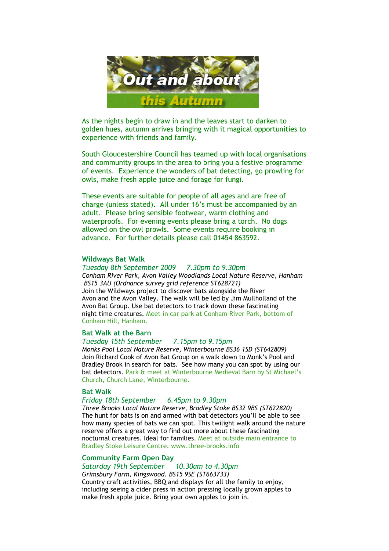

As the nights begin to draw in and the leaves start to darken to golden hues, autumn arrives bringing with it magical opportunities to experience with friends and family.

South Gloucestershire Council has teamed up with local organisations and community groups in the area to bring you a festive programme of events. Experience the wonders of bat detecting, go prowling for owls, make fresh apple juice and forage for fungi.

These events are suitable for people of all ages and are free of charge (unless stated). All under 16's must be accompanied by an adult. Please bring sensible footwear, warm clothing and waterproofs. For evening events please bring a torch. No dogs allowed on the owl prowls. Some events require booking in advance. For further details please call 01454 863592.

### Wildways Bat Walk

Tuesday 8th September 2009 7.30pm to 9.30pm Conham River Park, Avon Valley Woodlands Local Nature Reserve, Hanham BS15 3AU (Ordnance survey grid reference ST628721) Join the Wildways project to discover bats alongside the River Avon and the Avon Valley. The walk will be led by Jim Mullholland of the Avon Bat Group. Use bat detectors to track down these fascinating night time creatures. Meet in car park at Conham River Park, bottom of Conham Hill, Hanham.

## Bat Walk at the Barn

Tuesday 15th September 7.15pm to 9.15pm Monks Pool Local Nature Reserve, Winterbourne BS36 1SD (ST642809) Join Richard Cook of Avon Bat Group on a walk down to Monk's Pool and Bradley Brook in search for bats. See how many you can spot by using our bat detectors. Park & meet at Winterbourne Medieval Barn by St Michael's Church, Church Lane, Winterbourne.

### Bat Walk

### Friday 18th September 6.45pm to 9.30pm

Three Brooks Local Nature Reserve, Bradley Stoke BS32 9BS (ST622820) The hunt for bats is on and armed with bat detectors you'll be able to see how many species of bats we can spot. This twilight walk around the nature reserve offers a great way to find out more about these fascinating nocturnal creatures. Ideal for families. Meet at outside main entrance to Bradley Stoke Leisure Centre. www.three-brooks.info

## Community Farm Open Day

Saturday 19th September 10.30am to 4.30pm Grimsbury Farm, Kingswood. BS15 9SE (ST663733) Country craft activities, BBQ and displays for all the family to enjoy, including seeing a cider press in action pressing locally grown apples to make fresh apple juice. Bring your own apples to join in.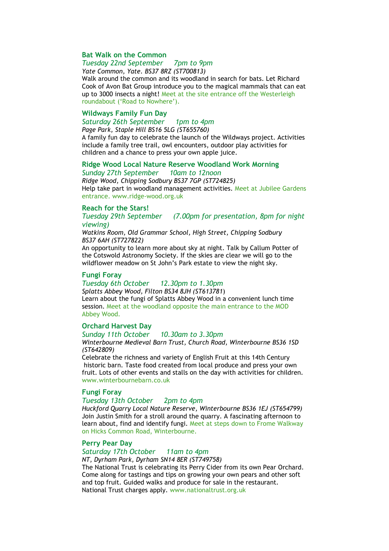# Bat Walk on the Common

# Tuesday 22nd September 7pm to 9pm

Yate Common, Yate. BS37 8RZ (ST700813)

Walk around the common and its woodland in search for bats. Let Richard Cook of Avon Bat Group introduce you to the magical mammals that can eat up to 3000 insects a night! Meet at the site entrance off the Westerleigh roundabout ('Road to Nowhere').

## Wildways Family Fun Day

Saturday 26th September 1pm to 4pm Page Park, Staple Hill BS16 5LG (ST655760)

A family fun day to celebrate the launch of the Wildways project. Activities include a family tree trail, owl encounters, outdoor play activities for children and a chance to press your own apple juice.

### Ridge Wood Local Nature Reserve Woodland Work Morning

Sunday 27th September 10am to 12noon

Ridge Wood, Chipping Sodbury BS37 7GP (ST724825) Help take part in woodland management activities. Meet at Jubilee Gardens entrance. www.ridge-wood.org.uk

### Reach for the Stars!

Tuesday 29th September (7.00pm for presentation, 8pm for night viewing)

Watkins Room, Old Grammar School, High Street, Chipping Sodbury BS37 6AH (ST727822)

An opportunity to learn more about sky at night. Talk by Callum Potter of the Cotswold Astronomy Society. If the skies are clear we will go to the wildflower meadow on St John's Park estate to view the night sky.

## Fungi Foray

### Tuesday 6th October 12.30pm to 1.30pm

Splatts Abbey Wood, Filton BS34 8JH (ST613781) Learn about the fungi of Splatts Abbey Wood in a convenient lunch time session. Meet at the woodland opposite the main entrance to the MOD Abbey Wood.

### Orchard Harvest Day

Sunday 11th October 10.30am to 3.30pm

Winterbourne Medieval Barn Trust, Church Road, Winterbourne BS36 1SD (ST642809)

Celebrate the richness and variety of English Fruit at this 14th Century historic barn. Taste food created from local produce and press your own fruit. Lots of other events and stalls on the day with activities for children. www.winterbournebarn.co.uk

## Fungi Foray

# Tuesday 13th October 2pm to 4pm

Huckford Quarry Local Nature Reserve, Winterbourne BS36 1EJ (ST654799) Join Justin Smith for a stroll around the quarry. A fascinating afternoon to learn about, find and identify fungi. Meet at steps down to Frome Walkway on Hicks Common Road, Winterbourne.

### Perry Pear Day

# Saturday 17th October 11am to 4pm

NT, Dyrham Park, Dyrham SN14 8ER (ST749758)

The National Trust is celebrating its Perry Cider from its own Pear Orchard. Come along for tastings and tips on growing your own pears and other soft and top fruit. Guided walks and produce for sale in the restaurant. National Trust charges apply. www.nationaltrust.org.uk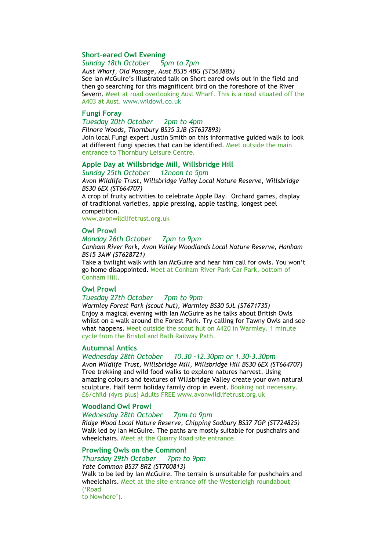## Short-eared Owl Evening

Sunday 18th October 5pm to 7pm

Aust Wharf, Old Passage, Aust BS35 4BG (ST563885) See Ian McGuire's illustrated talk on Short eared owls out in the field and then go searching for this magnificent bird on the foreshore of the River Severn. Meet at road overlooking Aust Wharf. This is a road situated off the A403 at Aust. www.wildowl.co.uk

## Fungi Foray

Tuesday 20th October 2pm to 4pm Filnore Woods, Thornbury BS35 3JB (ST637893)

Join local Fungi expert Justin Smith on this informative guided walk to look at different fungi species that can be identified. Meet outside the main entrance to Thornbury Leisure Centre.

### Apple Day at Willsbridge Mill, Willsbridge Hill

Sunday 25th October 12noon to 5pm

Avon Wildlife Trust, Willsbridge Valley Local Nature Reserve, Willsbridge BS30 6EX (ST664707)

A crop of fruity activities to celebrate Apple Day. Orchard games, display of traditional varieties, apple pressing, apple tasting, longest peel competition.

www.avonwildlifetrust.org.uk

#### Owl Prowl

#### Monday 26th October 7pm to 9pm

Conham River Park, Avon Valley Woodlands Local Nature Reserve, Hanham BS15 3AW (ST628721)

Take a twilight walk with Ian McGuire and hear him call for owls. You won't go home disappointed. Meet at Conham River Park Car Park, bottom of Conham Hill.

## Owl Prowl

## Tuesday 27th October 7pm to 9pm

Warmley Forest Park (scout hut), Warmley BS30 5JL (ST671735) Enjoy a magical evening with Ian McGuire as he talks about British Owls whilst on a walk around the Forest Park. Try calling for Tawny Owls and see what happens. Meet outside the scout hut on A420 in Warmley. 1 minute cycle from the Bristol and Bath Railway Path.

## Autumnal Antics

Wednesday 28th October 10.30 -12.30pm or 1.30-3.30pm Avon Wildlife Trust, Willsbridge Mill, Willsbridge Hill BS30 6EX (ST664707) Tree trekking and wild food walks to explore natures harvest. Using amazing colours and textures of Willsbridge Valley create your own natural sculpture. Half term holiday family drop in event. Booking not necessary. £6/child (4yrs plus) Adults FREE www.avonwildlifetrust.org.uk

### Woodland Owl Prowl

### Wednesday 28th October 7pm to 9pm

Ridge Wood Local Nature Reserve, Chipping Sodbury BS37 7GP (ST724825) Walk led by Ian McGuire. The paths are mostly suitable for pushchairs and wheelchairs. Meet at the Quarry Road site entrance.

### Prowling Owls on the Common!

Thursday 29th October 7pm to 9pm Yate Common BS37 8RZ (ST700813) Walk to be led by Ian McGuire. The terrain is unsuitable for pushchairs and wheelchairs. Meet at the site entrance off the Westerleigh roundabout ('Road to Nowhere').